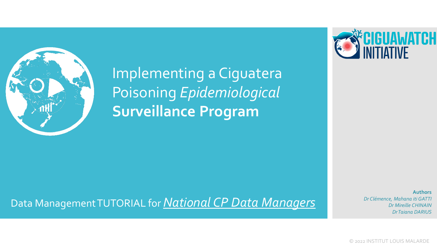

Implementing a Ciguatera Poisoning *Epidemiological*  **Surveillance Program**

# **JATCH**

Data Management TUTORIAL for *National CP Data Managers*

**Authors** *Dr Clémence, Mahana iti GATTI Dr Mireille CHINAIN Dr Taiana DARIUS*

© 2022 INSTITUT LOUIS MALARDE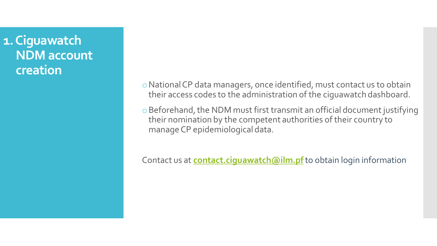**1. Ciguawatch NDM account creation**

> oNational CP data managers, once identified, must contact us to obtain their access codes to the administration of the ciguawatch dashboard.

oBeforehand, the NDM must first transmit an official document justifying their nomination by the competent authorities of their country to manage CP epidemiological data.

Contact us at **[contact.ciguawatch@ilm.pf](mailto:contact.ciguawatch@ilm.pf)**to obtain login information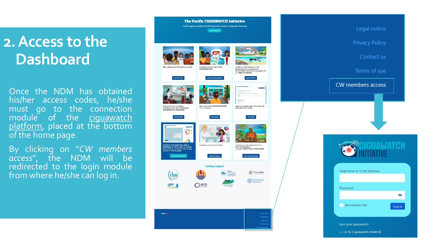### **2. Access to the Dashboard**

Once the NDM has obtained his/her access codes, he/she must go to the connection module of the [ciguawatch](ciguawatch.ilm.pf) platform, placed at the bottom of the home page.

By clicking on "*CW members access*", the NDM will be redirected to the login module from where he/she can log in.



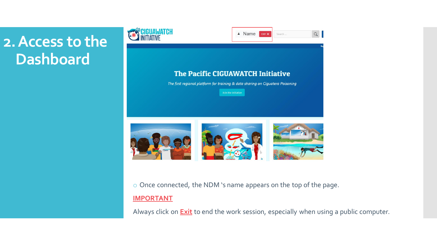## **2. Access to the Dashboard**





### The Pacific CIGUAWATCH Initiative

The first regional platform for training & data sharing on Ciguatera Poisoning

Join the initiative



o Once connected, the NDM 's name appears on the top of the page.

#### **IMPORTANT**

Always click on **Exit** to end the work session, especially when using a public computer.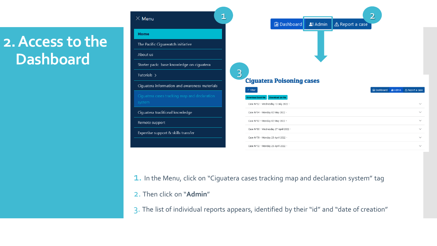## **2. Access to the Dashboard**



1. In the Menu, click on "Ciguatera cases tracking map and declaration system" tag

2. Then click on "**Admin**"

3. The list of individual reports appears, identified by their "id" and "date of creation"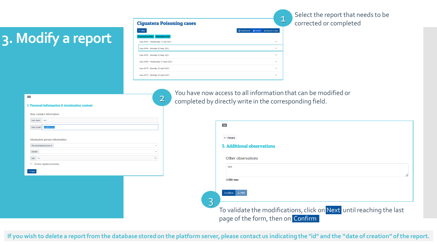# **3. Modify a report**

1 Personal information 8 intoxication context

52

| <b>Ciguatera Poisoning cases</b>                       |                              |                 |  |  |  |
|--------------------------------------------------------|------------------------------|-----------------|--|--|--|
| $=$ Filter                                             | <b>Dashboard</b><br>25 Admin | △ Report a case |  |  |  |
| <b>Download csv file</b><br><b>Download Excel file</b> |                              |                 |  |  |  |
| Case Nº52 - Wednesday 13 July 2022 -                   |                              | $\checkmark$    |  |  |  |
| Case Nº94 - Monday 02 May 2022 -                       |                              | $\checkmark$    |  |  |  |
| Case Nº92 - Monday 02 May 2022 -                       |                              | $\checkmark$    |  |  |  |
| Case Nº80 - Wednesday 27 April 2022 -                  |                              | $\checkmark$    |  |  |  |
| Case Nº79 - Monday 25 April 2022 -                     |                              | $\checkmark$    |  |  |  |
| Case Nº72 - Monday 25 April 2022 -                     |                              | $\checkmark$    |  |  |  |

2

Select the report that needs to be corrected or completed

| You have now access to all information that can be modified or      |  |
|---------------------------------------------------------------------|--|
| $\mathbf v$ completed by directly write in the corresponding field. |  |

|                            | Test                           |                     |
|----------------------------|--------------------------------|---------------------|
| Your e-mail                | test@test.test                 |                     |
|                            | Intoxicated person information |                     |
| The intoxicated person is: |                                | $\check{~}$         |
| Gender                     |                                | $\checkmark$        |
| 42<br>Age                  |                                | $\hat{\mathcal{C}}$ |
|                            | Previous Ciguatera poisonings  |                     |
| $\rightarrow$ Next         |                                |                     |
|                            |                                |                     |
|                            |                                |                     |
|                            |                                |                     |

| $\leftarrow$ Return |                                   |  |  |
|---------------------|-----------------------------------|--|--|
|                     | <b>5. Additional observations</b> |  |  |
| Other observations  |                                   |  |  |
| test                |                                   |  |  |
| $0/255$ max         |                                   |  |  |
| $L$ PDF<br>Confirm  |                                   |  |  |
|                     |                                   |  |  |

**If you wish to delete a report from the database stored on the platform server, please contact us indicating the "id" and the "date of creation" of the report.**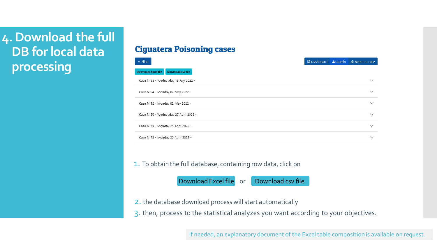**4. Download the full DB for local data processing**

### **Ciguatera Poisoning cases**

| $=$ Filter                                      | <b>圖 Dashboard 全</b> Admin | △ Report a case |
|-------------------------------------------------|----------------------------|-----------------|
| <b>Download Excel file</b><br>Download csv file |                            |                 |
| Case Nº52 - Wednesday 13 July 2022 -            |                            | $\checkmark$    |
| Case Nº94 - Monday 02 May 2022 -                |                            | $\checkmark$    |
| Case Nº92 - Monday 02 May 2022 -                |                            | $\checkmark$    |
| Case Nº80 - Wednesday 27 April 2022 -           |                            | $\checkmark$    |
| Case Nº79 - Monday 25 April 2022 -              |                            | $\checkmark$    |
| Case Nº72 - Monday 25 April 2022 -              |                            | $\checkmark$    |

1. To obtain the full database, containing row data, click on



- 2. the database download process will start automatically
- 3. then, process to the statistical analyzes you want according to your objectives.

If needed, an explanatory document of the Excel table composition is available on request.